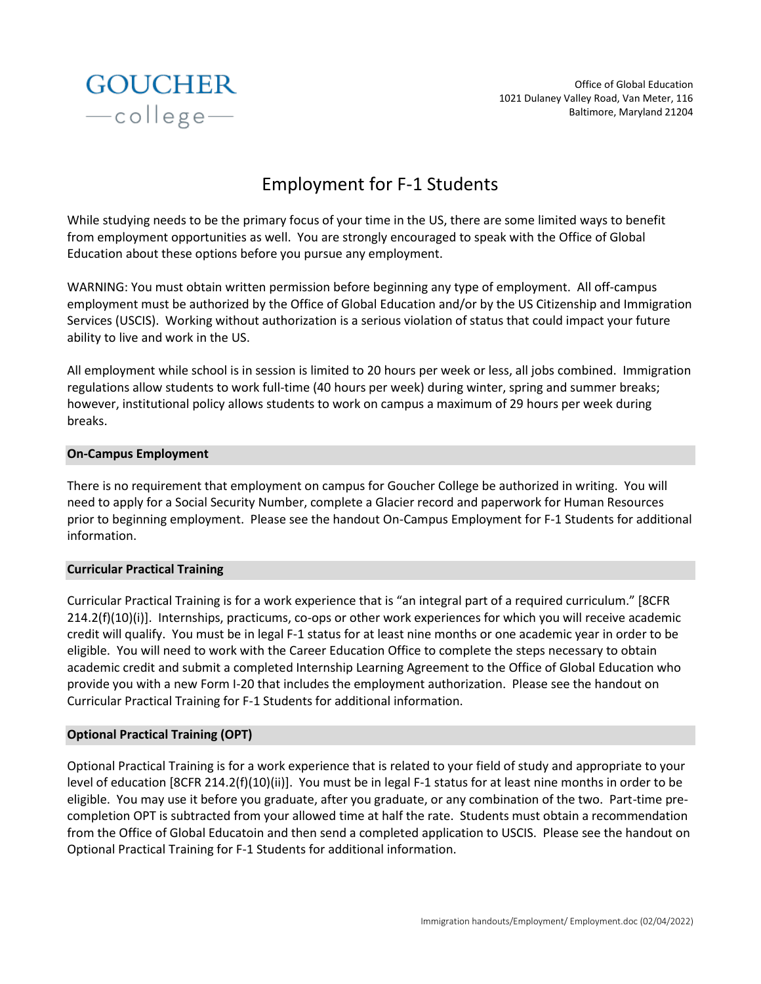

Office of Global Education 1021 Dulaney Valley Road, Van Meter, 116 Baltimore, Maryland 21204

# Employment for F-1 Students

While studying needs to be the primary focus of your time in the US, there are some limited ways to benefit from employment opportunities as well. You are strongly encouraged to speak with the Office of Global Education about these options before you pursue any employment.

WARNING: You must obtain written permission before beginning any type of employment. All off-campus employment must be authorized by the Office of Global Education and/or by the US Citizenship and Immigration Services (USCIS). Working without authorization is a serious violation of status that could impact your future ability to live and work in the US.

All employment while school is in session is limited to 20 hours per week or less, all jobs combined. Immigration regulations allow students to work full-time (40 hours per week) during winter, spring and summer breaks; however, institutional policy allows students to work on campus a maximum of 29 hours per week during breaks.

## **On-Campus Employment**

There is no requirement that employment on campus for Goucher College be authorized in writing. You will need to apply for a Social Security Number, complete a Glacier record and paperwork for Human Resources prior to beginning employment. Please see the handout On-Campus Employment for F-1 Students for additional information.

#### **Curricular Practical Training**

Curricular Practical Training is for a work experience that is "an integral part of a required curriculum." [8CFR 214.2(f)(10)(i)]. Internships, practicums, co-ops or other work experiences for which you will receive academic credit will qualify. You must be in legal F-1 status for at least nine months or one academic year in order to be eligible. You will need to work with the Career Education Office to complete the steps necessary to obtain academic credit and submit a completed Internship Learning Agreement to the Office of Global Education who provide you with a new Form I-20 that includes the employment authorization. Please see the handout on Curricular Practical Training for F-1 Students for additional information.

# **Optional Practical Training (OPT)**

Optional Practical Training is for a work experience that is related to your field of study and appropriate to your level of education [8CFR 214.2(f)(10)(ii)]. You must be in legal F-1 status for at least nine months in order to be eligible. You may use it before you graduate, after you graduate, or any combination of the two. Part-time precompletion OPT is subtracted from your allowed time at half the rate. Students must obtain a recommendation from the Office of Global Educatoin and then send a completed application to USCIS. Please see the handout on Optional Practical Training for F-1 Students for additional information.